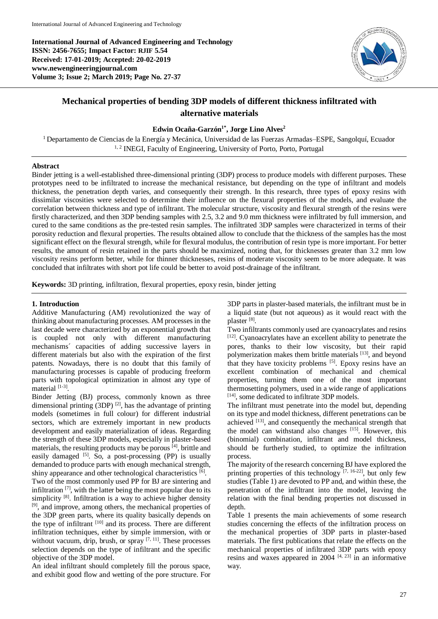**International Journal of Advanced Engineering and Technology ISSN: 2456-7655; Impact Factor: RJIF 5.54 Received: 17-01-2019; Accepted: 20-02-2019 www.newengineeringjournal.com Volume 3; Issue 2; March 2019; Page No. 27-37**



# **Mechanical properties of bending 3DP models of different thickness infiltrated with alternative materials**

# **Edwin Ocaña-Garzón1\* , Jorge Lino Alves<sup>2</sup>**

<sup>1</sup> Departamento de Ciencias de la Energía y Mecánica, Universidad de las Fuerzas Armadas–ESPE, Sangolquí, Ecuador <sup>1, 2</sup> INEGI, Faculty of Engineering, University of Porto, Porto, Portugal

## **Abstract**

Binder jetting is a well-established three-dimensional printing (3DP) process to produce models with different purposes. These prototypes need to be infiltrated to increase the mechanical resistance, but depending on the type of infiltrant and models thickness, the penetration depth varies, and consequently their strength. In this research, three types of epoxy resins with dissimilar viscosities were selected to determine their influence on the flexural properties of the models, and evaluate the correlation between thickness and type of infiltrant. The molecular structure, viscosity and flexural strength of the resins were firstly characterized, and then 3DP bending samples with 2.5, 3.2 and 9.0 mm thickness were infiltrated by full immersion, and cured to the same conditions as the pre-tested resin samples. The infiltrated 3DP samples were characterized in terms of their porosity reduction and flexural properties. The results obtained allow to conclude that the thickness of the samples has the most significant effect on the flexural strength, while for flexural modulus, the contribution of resin type is more important. For better results, the amount of resin retained in the parts should be maximized, noting that, for thicknesses greater than 3.2 mm low viscosity resins perform better, while for thinner thicknesses, resins of moderate viscosity seem to be more adequate. It was concluded that infiltrates with short pot life could be better to avoid post-drainage of the infiltrant.

**Keywords:** 3D printing, infiltration, flexural properties, epoxy resin, binder jetting

# **1. Introduction**

Additive Manufacturing (AM) revolutionized the way of thinking about manufacturing processes. AM processes in the last decade were characterized by an exponential growth that is coupled not only with different manufacturing mechanisms´ capacities of adding successive layers in different materials but also with the expiration of the first patents. Nowadays, there is no doubt that this family of manufacturing processes is capable of producing freeform parts with topological optimization in almost any type of material [1-3].

Binder Jetting (BJ) process, commonly known as three dimensional printing  $(3DP)^{2}$ , has the advantage of printing models (sometimes in full colour) for different industrial sectors, which are extremely important in new products development and easily materialization of ideas. Regarding the strength of these 3DP models, especially in plaster-based materials, the resulting products may be porous  $^{[4]}$ , brittle and easily damaged  $[5]$ . So, a post-processing (PP) is usually demanded to produce parts with enough mechanical strength, shiny appearance and other technological characteristics [6].

Two of the most commonly used PP for BJ are sintering and infiltration  $[7]$ , with the latter being the most popular due to its simplicity  $[8]$ . Infiltration is a way to achieve higher density [9], and improve, among others, the mechanical properties of the 3DP green parts, where its quality basically depends on the type of infiltrant  $[10]$  and its process. There are different infiltration techniques, either by simple immersion, with or without vacuum, drip, brush, or spray  $[7, 11]$ . These processes selection depends on the type of infiltrant and the specific objective of the 3DP model.

An ideal infiltrant should completely fill the porous space, and exhibit good flow and wetting of the pore structure. For

3DP parts in plaster-based materials, the infiltrant must be in a liquid state (but not aqueous) as it would react with the plaster [8].

Two infiltrants commonly used are cyanoacrylates and resins [12]. Cyanoacrylates have an excellent ability to penetrate the pores, thanks to their low viscosity, but their rapid polymerization makes them brittle materials [13], and beyond that they have toxicity problems  $[5]$ . Epoxy resins have an excellent combination of mechanical and chemical properties, turning them one of the most important thermosetting polymers, used in a wide range of applications [14], some dedicated to infiltrate 3DP models.

The infiltrant must penetrate into the model but, depending on its type and model thickness, different penetrations can be achieved  $^{[13]}$ , and consequently the mechanical strength that the model can withstand also changes  $[15]$ . However, this (binomial) combination, infiltrant and model thickness, should be furtherly studied, to optimize the infiltration process.

The majority of the research concerning BJ have explored the printing properties of this technology  $[7, 16-22]$ , but only few studies (Table 1) are devoted to PP and, and within these, the penetration of the infiltrant into the model, leaving the relation with the final bending properties not discussed in depth.

Table 1 presents the main achievements of some research studies concerning the effects of the infiltration process on the mechanical properties of 3DP parts in plaster-based materials. The first publications that relate the effects on the mechanical properties of infiltrated 3DP parts with epoxy resins and waxes appeared in  $2004$  <sup>[4, 23]</sup> in an informative way.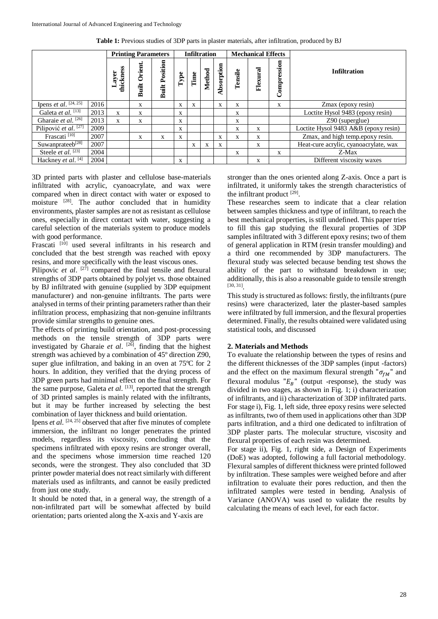|                                  |      |                    | <b>Printing Parameters</b> |                       |      |      | <b>Infiltration</b> |              |         | <b>Mechanical Effects</b> |             |                                       |  |
|----------------------------------|------|--------------------|----------------------------|-----------------------|------|------|---------------------|--------------|---------|---------------------------|-------------|---------------------------------------|--|
|                                  |      | thickness<br>Layer | Orient<br>Built            | <b>Built Position</b> | Type | Time | Method              | Absorption   | Tensile | Flexural                  | Compression | <b>Infiltration</b>                   |  |
| Ipens <i>et al.</i> $[24, 25]$   | 2016 |                    | X                          |                       | X    | X    |                     | $\mathbf{x}$ | X       |                           | X           | Zmax (epoxy resin)                    |  |
| Galeta et al. [13]               | 2013 | $\mathbf{x}$       | X                          |                       | X    |      |                     |              | X       |                           |             | Loctite Hysol 9483 (epoxy resin)      |  |
| Gharaie et al. <sup>[26]</sup>   | 2013 | X                  | X                          |                       | X    |      |                     |              | X       |                           |             | $Z90$ (superglue)                     |  |
| Pilipović et al. <sup>[27]</sup> | 2009 |                    |                            |                       | X    |      |                     |              | X       | X                         |             | Loctite Hysol 9483 A&B (epoxy resin)  |  |
| Frascati $[10]$                  | 2007 |                    | X                          | X                     | X    |      |                     | X            | X       | X                         |             | Zmax, and high temp.epoxy resin.      |  |
| Suwanprateeb[28]                 | 2007 |                    |                            |                       |      | X    | $\mathbf{x}$        | X            |         | X                         |             | Heat-cure acrylic, cyanoacrylate, wax |  |
| Steele et al. <sup>[23]</sup>    | 2004 |                    |                            |                       |      |      |                     |              | X       |                           | X           | Z-Max                                 |  |
| Hackney et al. [4]               | 2004 |                    |                            |                       | X    |      |                     |              |         | X                         |             | Different viscosity waxes             |  |

**Table 1:** Previous studies of 3DP parts in plaster materials, after infiltration, produced by BJ

3D printed parts with plaster and cellulose base-materials infiltrated with acrylic, cyanoacrylate, and wax were compared when in direct contact with water or exposed to moisture <sup>[28]</sup>. The author concluded that in humidity environments, plaster samples are not as resistant as cellulose ones, especially in direct contact with water, suggesting a careful selection of the materials system to produce models with good performance.

Frascati <sup>[10]</sup> used several infiltrants in his research and concluded that the best strength was reached with epoxy resins, and more specifically with the least viscous ones.

Pilipovic *et al.* <sup>[27]</sup> compared the final tensile and flexural strengths of 3DP parts obtained by polyjet vs. those obtained by BJ infiltrated with genuine (supplied by 3DP equipment manufacturer) and non-genuine infiltrants. The parts were analysed in terms of their printing parameters rather than their infiltration process, emphasizing that non-genuine infiltrants provide similar strengths to genuine ones.

The effects of printing build orientation, and post-processing methods on the tensile strength of 3DP parts were investigated by Gharaie *et al*. [26], finding that the highest strength was achieved by a combination of 45º direction Z90, super glue infiltration, and baking in an oven at 75ºC for 2 hours. In addition, they verified that the drying process of 3DP green parts had minimal effect on the final strength. For the same purpose, Galeta *et al*. [13], reported that the strength of 3D printed samples is mainly related with the infiltrants, but it may be further increased by selecting the best combination of layer thickness and build orientation.

Ipens *et al.* <sup>[24, 25]</sup> observed that after five minutes of complete immersion, the infiltrant no longer penetrates the printed models, regardless its viscosity, concluding that the specimens infiltrated with epoxy resins are stronger overall, and the specimens whose immersion time reached 120 seconds, were the strongest. They also concluded that 3D printer powder material does not react similarly with different materials used as infiltrants, and cannot be easily predicted from just one study.

It should be noted that, in a general way, the strength of a non-infiltrated part will be somewhat affected by build orientation; parts oriented along the X-axis and Y-axis are

stronger than the ones oriented along Z-axis. Once a part is infiltrated, it uniformly takes the strength characteristics of the infiltrant product [29].

These researches seem to indicate that a clear relation between samples thickness and type of infiltrant, to reach the best mechanical properties, is still undefined. This paper tries to fill this gap studying the flexural properties of 3DP samples infiltrated with 3 different epoxy resins; two of them of general application in RTM (resin transfer moulding) and a third one recommended by 3DP manufacturers. The flexural study was selected because bending test shows the ability of the part to withstand breakdown in use; additionally, this is also a reasonable guide to tensile strength [30, 31] .

This study is structured as follows: firstly, the infiltrants (pure resins) were characterized, later the plaster-based samples were infiltrated by full immersion, and the flexural properties determined. Finally, the results obtained were validated using statistical tools, and discussed

#### **2. Materials and Methods**

To evaluate the relationship between the types of resins and the different thicknesses of the 3DP samples (input -factors) and the effect on the maximum flexural strength " $\sigma_{fM}$ " and flexural modulus " $E_R$ " (output -response), the study was divided in two stages, as shown in Fig. 1; i) characterization of infiltrants, and ii) characterization of 3DP infiltrated parts. For stage i), Fig. 1, left side, three epoxy resins were selected as infiltrants, two of them used in applications other than 3DP parts infiltration, and a third one dedicated to infiltration of 3DP plaster parts. The molecular structure, viscosity and flexural properties of each resin was determined.

For stage ii), Fig. 1, right side, a Design of Experiments (DoE) was adopted, following a full factorial methodology. Flexural samples of different thickness were printed followed by infiltration. These samples were weighed before and after infiltration to evaluate their pores reduction, and then the infiltrated samples were tested in bending. Analysis of Variance (ANOVA) was used to validate the results by calculating the means of each level, for each factor.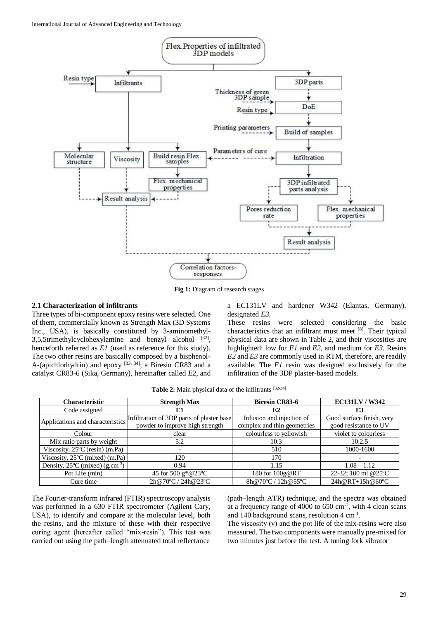

**Fig 1:** Diagram of research stages

# **2.1 Characterization of infiltrants**

Three types of bi-component epoxy resins were selected. One of them, commercially known as Strength Max (3D Systems Inc., USA), is basically constituted by 3-aminomethyl- $3,5,5$ trimethylcyclohexylamine and benzyl alcohol  $[32]$ , henceforth referred as *E1* (used as reference for this study). The two other resins are basically composed by a bisphenol-A-(apichlorhydrin) and epoxy  $^{[33, 34]}$ ; a Biresin CR83 and a catalyst CR83-6 (Sika, Germany), hereinafter called *E2*, and a EC131LV and hardener W342 (Elantas, Germany), designated *E3*.

These resins were selected considering the basic characteristics that an infiltrant must meet [8]. Their typical physical data are shown in Table 2, and their viscosities are highlighted: low for *E1* and *E2*, and medium for *E3*. Resins *E2* and *E3* are commonly used in RTM, therefore, are readily available. The *E1* resin was designed exclusively for the infiltration of the 3DP plaster-based models.

| Table 2: Main physical data of the infiltrants [32-34] |  |  |  |  |
|--------------------------------------------------------|--|--|--|--|
|--------------------------------------------------------|--|--|--|--|

| <b>Characteristic</b>                                 | <b>Strength Max</b>                       | <b>Biresin CR83-6</b>       | <b>EC131LV/W342</b>       |  |
|-------------------------------------------------------|-------------------------------------------|-----------------------------|---------------------------|--|
| Code assigned                                         | E1                                        | E2                          | E3                        |  |
|                                                       | Infiltration of 3DP parts of plaster base | Infusion and injection of   | Good surface finish, very |  |
| Applications and characteristics                      | powder to improve high strength           | complex and thin geometries | good resistance to UV     |  |
| Colour                                                | clear                                     | colourless to yellowish     | violet to colourless      |  |
| Mix ratio parts by weight                             | 5:2                                       | 10:3                        | 10:2.5                    |  |
| Viscosity, $25^{\circ}$ C (resin) (m.Pa)              |                                           | 510                         | 1000-1600                 |  |
| Viscosity, 25°C (mixed) (m.Pa)                        | 120                                       | 170                         | $\overline{\phantom{0}}$  |  |
| Density, $25^{\circ}$ C (mixed) (g.cm <sup>-3</sup> ) | 0.94                                      | 1.15                        | $1.08 - 1.12$             |  |
| Pot Life (min)                                        | 45 for 500 g*@23°C                        | 180 for 100g@RT             | 22-32; 100 ml @25°C       |  |
| Cure time                                             | 2h@70°C / 24h@23°C                        | 8h@70°C/12h@55°C            | $24h@RT+15h@60°C$         |  |

The Fourier-transform infrared (FTIR) spectroscopy analysis was performed in a 630 FTIR spectrometer (Agilent Cary, USA), to identify and compare at the molecular level, both the resins, and the mixture of these with their respective curing agent (hereafter called "mix-resin"). This test was carried out using the path–length attenuated total reflectance

(path–length ATR) technique, and the spectra was obtained at a frequency range of  $4000$  to  $650 \text{ cm}^{-1}$ , with 4 clean scans and 140 background scans, resolution 4 cm-1 .

The viscosity  $(v)$  and the pot life of the mix-resins were also measured. The two components were manually pre-mixed for two minutes just before the test. A tuning fork vibrator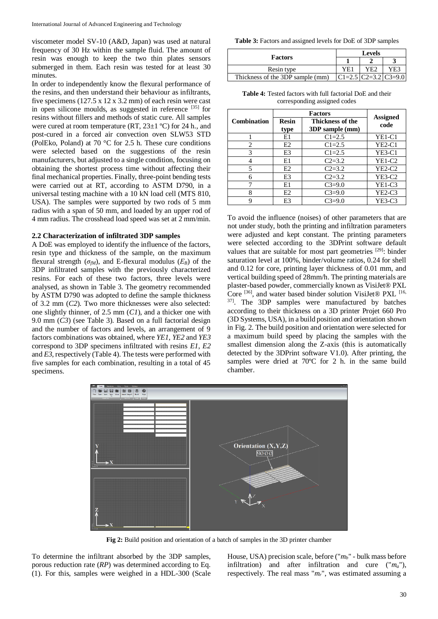viscometer model SV-10 (A&D, Japan) was used at natural frequency of 30 Hz within the sample fluid. The amount of resin was enough to keep the two thin plates sensors submerged in them. Each resin was tested for at least 30 minutes.

In order to independently know the flexural performance of the resins, and then understand their behaviour as infiltrants, five specimens (127.5 x 12 x 3.2 mm) of each resin were cast in open silicone moulds, as suggested in reference  $[35]$  for resins without fillers and methods of static cure. All samples were cured at room temperature (RT,  $23\pm1$  °C) for 24 h., and post-cured in a forced air convection oven SLW53 STD (PolEko, Poland) at 70 °C for 2.5 h. These cure conditions were selected based on the suggestions of the resin manufacturers, but adjusted to a single condition, focusing on obtaining the shortest process time without affecting their final mechanical properties. Finally, three-point bending tests were carried out at RT, according to ASTM D790, in a universal testing machine with a 10 kN load cell (MTS 810, USA). The samples were supported by two rods of 5 mm radius with a span of 50 mm, and loaded by an upper rod of 4 mm radius. The crosshead load speed was set at 2 mm/min.

#### **2.2 Characterization of infiltrated 3DP samples**

A DoE was employed to identify the influence of the factors, resin type and thickness of the sample, on the maximum flexural strength ( $\sigma_f$ <sub>*M*</sub>), and E-flexural modulus ( $E_B$ ) of the 3DP infiltrated samples with the previously characterized resins. For each of these two factors, three levels were analysed, as shown in Table 3. The geometry recommended by ASTM D790 was adopted to define the sample thickness of 3.2 mm (*C2*). Two more thicknesses were also selected: one slightly thinner, of 2.5 mm (*C1*), and a thicker one with 9.0 mm (*C3*) (see Table 3). Based on a full factorial design and the number of factors and levels, an arrangement of 9 factors combinations was obtained, where *YE1*, *YE2* and *YE3* correspond to 3DP specimens infiltrated with resins *E1*, *E2* and *E3*, respectively (Table 4). The tests were performed with five samples for each combination, resulting in a total of 45 specimens.

**Table 3:** Factors and assigned levels for DoE of 3DP samples

|                                  | <b>Levels</b> |     |                          |  |  |  |
|----------------------------------|---------------|-----|--------------------------|--|--|--|
| <b>Factors</b>                   |               |     |                          |  |  |  |
| Resin type                       | YE1           | YE2 | YE3                      |  |  |  |
| Thickness of the 3DP sample (mm) |               |     | $ C1=2.5 C2=3.2 C3=9.0 $ |  |  |  |

**Table 4:** Tested factors with full factorial DoE and their corresponding assigned codes

| <b>Combination</b> | <b>Resin</b><br>type | <b>Assigned</b><br>code |               |
|--------------------|----------------------|-------------------------|---------------|
|                    | E1                   | $C1 = 2.5$              | <b>YE1-C1</b> |
| 2                  | E2                   | $C1 = 2.5$              | $YE2-C1$      |
| 3                  | E <sub>3</sub>       | $C1 = 2.5$              | $YE3-C1$      |
|                    | E1                   | $C2 = 3.2$              | $YE1-C2$      |
| 5                  | E2                   | $C2 = 3.2$              | $YE2-C2$      |
| 6                  | E3                   | $C2 = 3.2$              | $YE3-C2$      |
|                    | E1                   | $C3=9.0$                | $YE1-C3$      |
| 8                  | E <sub>2</sub>       | $C3=9.0$                | $YE2-C3$      |
|                    | E <sub>3</sub>       | $C3=9.0$                | $YE3-C3$      |

To avoid the influence (noises) of other parameters that are not under study, both the printing and infiltration parameters were adjusted and kept constant. The printing parameters were selected according to the 3DPrint software default values that are suitable for most part geometries  $[29]$ : binder saturation level at 100%, binder/volume ratios, 0.24 for shell and 0.12 for core, printing layer thickness of 0.01 mm, and vertical building speed of 28mm/h. The printing materials are plaster-based powder, commercially known as VisiJet® PXL Core [36], and water based binder solution VisiJet® PXL [16, <sup>37]</sup>. The 3DP samples were manufactured by batches according to their thickness on a 3D printer Projet 660 Pro (3D Systems, USA), in a build position and orientation shown in Fig. 2. The build position and orientation were selected for a maximum build speed by placing the samples with the smallest dimension along the Z-axis (this is automatically detected by the 3DPrint software V1.0). After printing, the samples were dried at 70ºC for 2 h. in the same build chamber.



**Fig 2:** Build position and orientation of a batch of samples in the 3D printer chamber

To determine the infiltrant absorbed by the 3DP samples, porous reduction rate (*RP*) was determined according to Eq. (1). For this, samples were weighed in a HDL-300 (Scale

House, USA) precision scale, before ("*mb*" - bulk mass before infiltration) and after infiltration and cure ("*ma*"), respectively. The real mass "*mr*", was estimated assuming a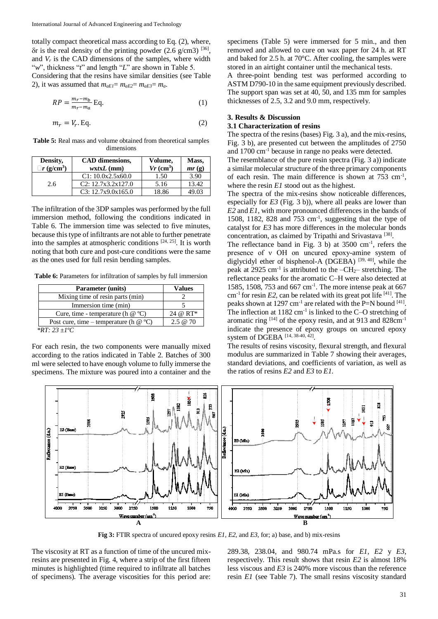totally compact theoretical mass according to Eq. (2), where,  $\delta$ r is the real density of the printing powder (2.6 g/cm3) [36], and  $V_r$  is the CAD dimensions of the samples, where width "*w*", thickness "*t*" and length "*L*" are shown in Table 5.

Considering that the resins have similar densities (see Table 2), it was assumed that  $m_{aE1} = m_{aE2} = m_{aE3} = m_a$ .

$$
RP = \frac{m_r - m_b}{m_r - m_a} \text{Eq.}
$$
 (1)

$$
m_r = V_r \cdot \text{Eq.} \tag{2}
$$

**Table 5:** Real mass and volume obtained from theoretical samples dimensions

| Density,             | CAD dimensions,    | Volume,                 | Mass,                       |
|----------------------|--------------------|-------------------------|-----------------------------|
| $\exists r (g/cm^3)$ | $wxtxL$ (mm)       | $Vr$ (cm <sup>3</sup> ) | $mr\left(\mathbf{g}\right)$ |
|                      | C1: 10.0x2.5x60.0  | 1.50                    | 3.90                        |
| 2.6                  | C2: 12.7x3.2x127.0 | 5.16                    | 13.42                       |
|                      | C3: 12.7x9.0x165.0 | 18.86                   | 49.03                       |

The infiltration of the 3DP samples was performed by the full immersion method, following the conditions indicated in Table 6. The immersion time was selected to five minutes, because this type of infiltrants are not able to further penetrate into the samples at atmospheric conditions  $[24, 25]$ . It is worth noting that both cure and post-cure conditions were the same as the ones used for full resin bending samples.

**Table 6:** Parameters for infiltration of samples by full immersion

| <b>Parameter (units)</b>                 | Values      |
|------------------------------------------|-------------|
| Mixing time of resin parts (min)         |             |
| Immersion time (min)                     |             |
| Cure, time - temperature (h $@$ °C)      | 24 @ RT*    |
| Post cure, time – temperature (h $@$ °C) | $2.5 \& 70$ |
| *DT. $22 + 10C$                          |             |

*\*RT: 23 ±1ºC* 

For each resin, the two components were manually mixed according to the ratios indicated in Table 2. Batches of 300 ml were selected to have enough volume to fully immerse the specimens. The mixture was poured into a container and the

specimens (Table 5) were immersed for 5 min., and then removed and allowed to cure on wax paper for 24 h. at RT and baked for 2.5 h. at 70°C. After cooling, the samples were stored in an airtight container until the mechanical tests.

A three-point bending test was performed according to ASTM D790-10 in the same equipment previously described. The support span was set at 40, 50, and 135 mm for samples thicknesses of 2.5, 3.2 and 9.0 mm, respectively.

# **3. Results & Discussion**

#### **3.1 Characterization of resins**

The spectra of the resins (bases) Fig. 3 a), and the mix-resins, Fig. 3 b), are presented cut between the amplitudes of 2750 and 1700 cm-1 because in range no peaks were detected.

The resemblance of the pure resin spectra (Fig. 3 a)) indicate a similar molecular structure of the three primary components of each resin. The main difference is shown at  $753 \text{ cm}^{-1}$ , where the resin *E1* stood out as the highest.

The spectra of the mix-resins show noticeable differences, especially for *E3* (Fig. 3 b)), where all peaks are lower than *E2* and *E1*, with more pronounced differences in the bands of 1508, 1182, 828 and 753 cm-1 , suggesting that the type of catalyst for *E3* has more differences in the molecular bonds concentration, as claimed by Tripathi and Srivastava<sup>[38]</sup>.

The reflectance band in Fig. 3 b) at  $3500 \text{ cm}^{-1}$ , refers the presence of ν OH on uncured epoxy-amine system of diglycidyl ether of bisphenol-A (DGEBA)<sup>[39, 40]</sup>, while the peak at 2925  $cm^{-1}$  is attributed to the  $-CH_2$  stretching. The reflectance peaks for the aromatic C–H were also detected at 1585, 1508, 753 and 667 cm-1 . The more intense peak at 667  $cm^{-1}$  for resin *E2*, can be related with its great pot life <sup>[41]</sup>. The peaks shown at 1297 cm<sup>-1</sup> are related with the P=N bound  $^{[41]}$ . The inflection at  $1182 \text{ cm}^{-1}$  is linked to the C-O stretching of aromatic ring  $[14]$  of the epoxy resin, and at 913 and 828cm<sup>-1</sup> indicate the presence of epoxy groups on uncured epoxy system of DGEBA [14, 38-40, 42].

The results of resins viscosity, flexural strength, and flexural modulus are summarized in Table 7 showing their averages, standard deviations, and coefficients of variation, as well as the ratios of resins *E2* and *E3* to *E1*.



**Fig 3:** FTIR spectra of uncured epoxy resins *E1, E2*, and *E3,* for; a) base, and b) mix-resins

The viscosity at RT as a function of time of the uncured mixresins are presented in Fig. 4, where a strip of the first fifteen minutes is highlighted (time required to infiltrate all batches of specimens). The average viscosities for this period are:

289.38, 238.04, and 980.74 mPa.s for *E1, E2* y *E3*, respectively. This result shows that resin *E2* is almost 18% less viscous and *E3* is 240% more viscous than the reference resin *E1* (see Table 7). The small resins viscosity standard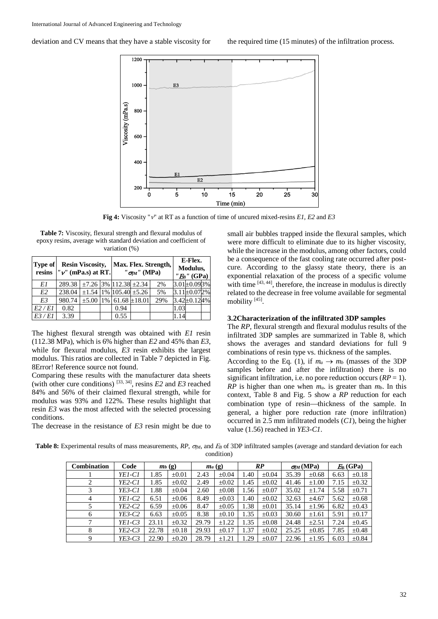

**Fig 4:** Viscosity " $v$ " at RT as a function of time of uncured mixed-resins *E1*, *E2* and *E3* 

**Table 7:** Viscosity, flexural strength and flexural modulus of epoxy resins, average with standard deviation and coefficient of variation (%)

| <b>Type of</b> | <b>Resin Viscosity,</b><br>resins $\mathbf{v}'$ (mPa.s) at RT. |                                     |  | Max. Flex. Strength.<br>$"$ $\sigma_{M}$ " (MPa) | E-Flex.<br>Modulus,<br>$"EB$ " (GPa) |      |                    |  |
|----------------|----------------------------------------------------------------|-------------------------------------|--|--------------------------------------------------|--------------------------------------|------|--------------------|--|
| E1             | $289.38$ + $\pm$ 7.26 3% 112.38 $\pm$ 2.34                     |                                     |  |                                                  | 2%                                   |      | $3.01 \pm 0.093\%$ |  |
| E2             | 238.04                                                         | $\pm 1.54$ 1% $105.40 \pm 5.26$     |  |                                                  | 5%                                   |      | $3.11 \pm 0.072$ % |  |
| E3             | 980.74                                                         | $\pm$ 5.00   1%   61.68 $\pm$ 18.01 |  |                                                  | 29%                                  |      | $3.42 \pm 0.124$ % |  |
| E2/E1          | 0.82                                                           |                                     |  | 0.94                                             |                                      | 1.03 |                    |  |
| E3/E1          | 3.39                                                           |                                     |  | 0.55                                             |                                      | 1.14 |                    |  |

The highest flexural strength was obtained with *E1* resin (112.38 MPa), which is 6% higher than *E2* and 45% than *E3*, while for flexural modulus, *E3* resin exhibits the largest modulus. This ratios are collected in Table 7 depicted in Fig. 8Error! Reference source not found.

Comparing these results with the manufacturer data sheets (with other cure conditions) [33, 34], resins *E2* and *E3* reached 84% and 56% of their claimed flexural strength, while for modulus was 93% and 122%. These results highlight that resin *E3* was the most affected with the selected processing conditions.

The decrease in the resistance of *E3* resin might be due to

small air bubbles trapped inside the flexural samples, which were more difficult to eliminate due to its higher viscosity, while the increase in the modulus, among other factors, could be a consequence of the fast cooling rate occurred after postcure. According to the glassy state theory, there is an exponential relaxation of the process of a specific volume with time [43, 44], therefore, the increase in modulus is directly related to the decrease in free volume available for segmental mobility<sup>[45]</sup>.

### **3.2Characterization of the infiltrated 3DP samples**

The *RP*, flexural strength and flexural modulus results of the infiltrated 3DP samples are summarized in Table 8, which shows the averages and standard deviations for full 9 combinations of resin type vs. thickness of the samples. According to the Eq. (1), if  $m_a \rightarrow m_b$  (masses of the 3DP samples before and after the infiltration) there is no significant infiltration, i.e. no pore reduction occurs (*RP* = 1). *RP* is higher than one when *ma*. is greater than *mb*. In this context, Table 8 and Fig. 5 show a *RP* reduction for each combination type of resin—thickness of the sample. In general, a higher pore reduction rate (more infiltration) occurred in 2.5 mm infiltrated models (*C1*), being the higher value (1.56) reached in *YE3-C1*.

Table 8: Experimental results of mass measurements, *RP*,  $\sigma_{M}$ , and  $E_{B}$  of 3DP infiltrated samples (average and standard deviation for each condition)

| Combination    | Code<br>$m_b$ (g) |       |            | $m_a$ (g) |            | RP   |            | $\sigma_{M}(\text{MPa})$ |            | $E_{\rm R}$ (GPa) |            |
|----------------|-------------------|-------|------------|-----------|------------|------|------------|--------------------------|------------|-------------------|------------|
|                | YE1-C1            | 1.85  | $\pm 0.01$ | 2.43      | $\pm 0.04$ | 1.40 | $\pm 0.04$ | 35.39                    | $\pm 0.68$ | 6.63              | $\pm 0.18$ |
|                | YE2-C1            | 1.85  | $\pm 0.02$ | 2.49      | $\pm 0.02$ | 1.45 | $\pm 0.02$ | 41.46                    | $\pm 1.00$ | 7.15              | $\pm 0.32$ |
|                | YE3-C1            | 1.88  | $\pm 0.04$ | 2.60      | $\pm 0.08$ | 1.56 | $\pm 0.07$ | 35.02                    | $\pm 1.74$ | 5.58              | $\pm 0.71$ |
| $\overline{4}$ | YE1-C2            | 6.51  | $\pm 0.06$ | 8.49      | $\pm 0.03$ | 1.40 | $\pm 0.02$ | 32.63                    | ±4.67      | 5.62              | $\pm 0.68$ |
|                | YE2-C2            | 6.59  | $\pm 0.06$ | 8.47      | $\pm 0.05$ | 1.38 | $\pm 0.01$ | 35.14                    | $\pm 1.96$ | 6.82              | $\pm 0.43$ |
| 6              | YE3-C2            | 6.63  | $\pm 0.05$ | 8.38      | $\pm 0.10$ | 1.35 | $\pm 0.03$ | 30.60                    | $\pm 1.61$ | 5.91              | $\pm 0.17$ |
|                | YE1-C3            | 23.11 | $\pm 0.32$ | 29.79     | $\pm 1.22$ | 1.35 | $\pm 0.08$ | 24.48                    | $\pm 2.51$ | 7.24              | $\pm 0.45$ |
| 8              | $YE2-C3$          | 22.78 | $\pm 0.18$ | 29.93     | $\pm 0.17$ | 1.37 | $\pm 0.02$ | 25.25                    | $\pm 0.85$ | 7.85              | $\pm 0.48$ |
| 9              | YE3-C3            | 22.90 | $\pm 0.20$ | 28.79     | $\pm 1.21$ | .29  | $\pm 0.07$ | 22.96                    | $\pm 1.95$ | 6.03              | $\pm 0.84$ |

### deviation and CV means that they have a stable viscosity for the required time (15 minutes) of the infiltration process.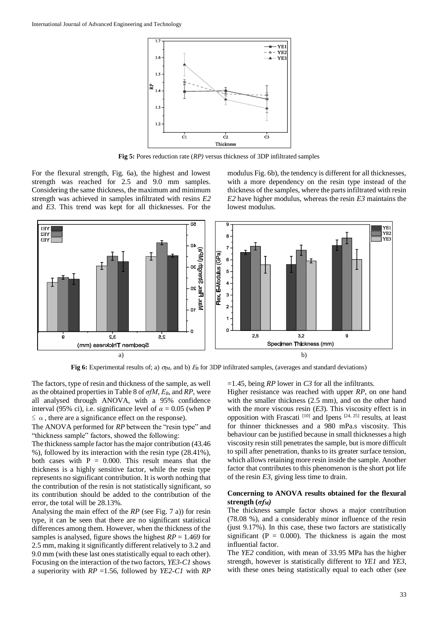

**Fig 5:** Pores reduction rate (*RP)* versus thickness of 3DP infiltrated samples

For the flexural strength, Fig. 6a), the highest and lowest strength was reached for 2.5 and 9.0 mm samples. Considering the same thickness, the maximum and minimum strength was achieved in samples infiltrated with resins *E2* and *E3*. This trend was kept for all thicknesses. For the modulus Fig. 6b), the tendency is different for all thicknesses, with a more dependency on the resin type instead of the thickness of the samples, where the parts infiltrated with resin *E2* have higher modulus, whereas the resin *E3* maintains the lowest modulus.



**Fig 6:** Experimental results of; a)  $\sigma_{M}$ , and b)  $E_{B}$  for 3DP infiltrated samples, (averages and standard deviations)

The factors, type of resin and thickness of the sample, as well as the obtained properties in Table 8 of *σfM*, *ΕB*, and *RP*, were all analysed through ANOVA, with a 95% confidence interval (95% ci), i.e. significance level of  $\alpha = 0.05$  (when P  $\leq \alpha$ , there are a significance effect on the response).

The ANOVA performed for *RP* between the "resin type" and "thickness sample" factors, showed the following:

The thickness sample factor has the major contribution (43.46 %), followed by its interaction with the resin type (28.41%), both cases with  $P = 0.000$ . This result means that the thickness is a highly sensitive factor, while the resin type represents no significant contribution. It is worth nothing that the contribution of the resin is not statistically significant, so its contribution should be added to the contribution of the error, the total will be 28.13%.

Analysing the main effect of the *RP* (see Fig. 7 a)) for resin type, it can be seen that there are no significant statistical differences among them. However, when the thickness of the samples is analysed, figure shows the highest  $RP = 1.469$  for 2.5 mm, making it significantly different relatively to 3.2 and 9.0 mm (with these last ones statistically equal to each other). Focusing on the interaction of the two factors, *YE3-C1* shows a superiority with *RP* =1.56, followed by *YE2-C1* with *RP*  =1.45, being *RP* lower in *C3* for all the infiltrants.

Higher resistance was reached with upper *RP*, on one hand with the smaller thickness (2.5 mm), and on the other hand with the more viscous resin (*E3*). This viscosity effect is in opposition with Frascati<sup>[10]</sup> and Ipens<sup>[24, 25]</sup> results, at least for thinner thicknesses and a 980 mPa.s viscosity. This behaviour can be justified because in small thicknesses a high viscosity resin still penetrates the sample, but is more difficult to spill after penetration, thanks to its greater surface tension, which allows retaining more resin inside the sample. Another factor that contributes to this phenomenon is the short pot life of the resin *E3*, giving less time to drain.

# **Concerning to ANOVA results obtained for the flexural strength (***σfM)*

The thickness sample factor shows a major contribution (78.08 %), and a considerably minor influence of the resin (just 9.17%). In this case, these two factors are statistically significant ( $P = 0.000$ ). The thickness is again the most influential factor.

The *YE2* condition, with mean of 33.95 MPa has the higher strength, however is statistically different to *YE1* and *YE3*, with these ones being statistically equal to each other (see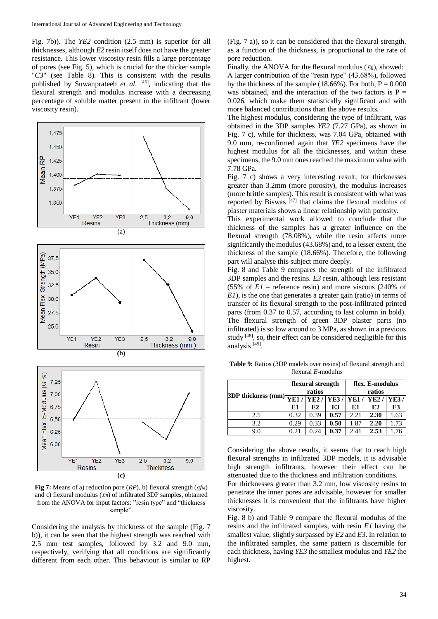Fig. 7b)). The *YE2* condition (2.5 mm) is superior for all thicknesses, although *E2* resin itself does not have the greater resistance. This lower viscosity resin fills a large percentage of pores (see Fig. 5), which is crucial for the thicker sample "*C3*" (see Table 8). This is consistent with the results published by Suwanprateeb *et al*. [46], indicating that the flexural strength and modulus increase with a decreasing percentage of soluble matter present in the infiltrant (lower viscosity resin).



**Fig 7:** Means of a) reduction pore (*RP*), b) flexural strength (*σfM*) and c) flexural modulus (*B*) of infiltrated 3DP samples, obtained from the ANOVA for input factors: "resin type" and "thickness sample".

Considering the analysis by thickness of the sample (Fig. 7 b)), it can be seen that the highest strength was reached with 2.5 mm test samples, followed by 3.2 and 9.0 mm, respectively, verifying that all conditions are significantly different from each other. This behaviour is similar to RP

(Fig. 7 a)), so it can be considered that the flexural strength, as a function of the thickness, is proportional to the rate of pore reduction.

Finally, the ANOVA for the flexural modulus ( $E_B$ ), showed: A larger contribution of the "resin type" (43.68%), followed by the thickness of the sample (18.66%). For both,  $P = 0.000$ was obtained, and the interaction of the two factors is  $P =$ 0.026, which make them statistically significant and with more balanced contributions than the above results.

The highest modulus, considering the type of infiltrant, was obtained in the 3DP samples *YE2* (7.27 GPa), as shown in Fig. 7 c), while for thickness, was 7.04 GPa, obtained with 9.0 mm, re-confirmed again that *YE2* specimens have the highest modulus for all the thicknesses, and within these specimens, the 9.0 mm ones reached the maximum value with 7.78 GPa.

Fig. 7 c) shows a very interesting result; for thicknesses greater than 3.2mm (more porosity), the modulus increases (more brittle samples). This result is consistent with what was reported by Biswas  $[47]$  that claims the flexural modulus of plaster materials shows a linear relationship with porosity.

This experimental work allowed to conclude that the thickness of the samples has a greater influence on the flexural strength (78.08%), while the resin affects more significantly the modulus (43.68%) and, to a lesser extent, the thickness of the sample (18.66%). Therefore, the following part will analyse this subject more deeply.

Fig. 8 and Table 9 compares the strength of the infiltrated 3DP samples and the resins. *E3* resin, although less resistant (55% of *E1* – reference resin) and more viscous (240% of *E1*), is the one that generates a greater gain (ratio) in terms of transfer of its flexural strength to the post-infiltrated printed parts (from 0.37 to 0.57, according to last column in bold). The flexural strength of green 3DP plaster parts (no infiltrated) is so low around to 3 MPa, as shown in a previous study [48], so, their effect can be considered negligible for this analysis<sup>[49]</sup>.

**Table 9:** Ratios (3DP models over resins) of flexural strength and flexural *E*-modulus

|                                                                                                                                                   |      | flexural strength<br>ratios |      | flex. E-modulus<br>ratios |                |      |  |
|---------------------------------------------------------------------------------------------------------------------------------------------------|------|-----------------------------|------|---------------------------|----------------|------|--|
| 3DP thickness (mm) $\sqrt{\text{VE1}/\sqrt{\text{VE2}/\sqrt{\text{VE3}/\sqrt{\text{VE1}/\sqrt{\text{VE2}}}}/\sqrt{\text{VE3}/\sqrt{\text{VE3}}}}$ |      |                             |      |                           |                |      |  |
|                                                                                                                                                   | E1   | E2                          | E3   | E1                        | E <sub>2</sub> | E3   |  |
| 2.5                                                                                                                                               | 0.32 | 0.39                        | 0.57 | 2.21                      | 2.30           | 1.63 |  |
| 3.2                                                                                                                                               | 0.29 | 0.33                        | 0.50 | 1.87                      | 2.20           | 1.73 |  |
| 9.0                                                                                                                                               | 0.21 | 0.24                        | 0.37 | 2.41                      | 2.53           |      |  |

Considering the above results, it seems that to reach high flexural strengths in infiltrated 3DP models, it is advisable high strength infiltrants, however their effect can be attenuated due to the thickness and infiltration conditions.

For thicknesses greater than 3.2 mm, low viscosity resins to penetrate the inner pores are advisable, however for smaller thicknesses it is convenient that the infiltrants have higher viscosity.

Fig. 8 b) and Table 9 compare the flexural modulus of the resins and the infiltrated samples, with resin *E1* having the smallest value, slightly surpassed by *E2* and *E3*. In relation to the infiltrated samples, the same pattern is discernible for each thickness, having *YE3* the smallest modulus and *YE2* the highest.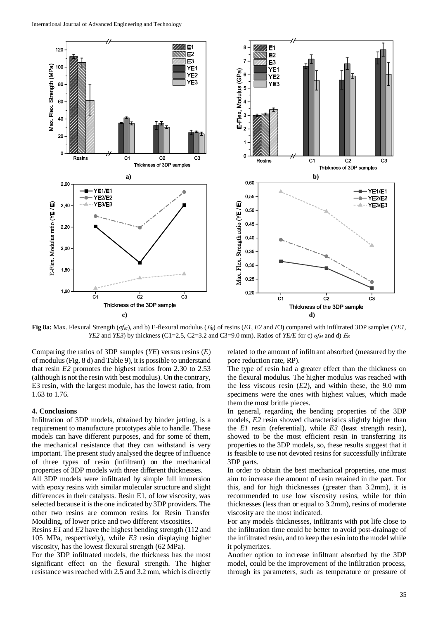

**Fig 8a:** Max. Flexural Strength (*σfM*), and b) E-flexural modulus (*B*) of resins (*E1, E2* and *E3*) compared with infiltrated 3DP samples (*YE1, YE2* and *YE3*) by thickness (C1=2.5, C2=3.2 and C3=9.0 mm). Ratios of *YE/E* for c)  $\sigma f_M$  and d) *E<sub>B</sub>* 

Comparing the ratios of 3DP samples (*YE*) versus resins (*E*) of modulus (Fig. 8 d) and Table 9), it is possible to understand that resin *E2* promotes the highest ratios from 2.30 to 2.53 (although is not the resin with best modulus). On the contrary, E3 resin, with the largest module, has the lowest ratio, from 1.63 to 1.76.

#### **4. Conclusions**

Infiltration of 3DP models, obtained by binder jetting, is a requirement to manufacture prototypes able to handle. These models can have different purposes, and for some of them, the mechanical resistance that they can withstand is very important. The present study analysed the degree of influence of three types of resin (infiltrant) on the mechanical properties of 3DP models with three different thicknesses.

All 3DP models were infiltrated by simple full immersion with epoxy resins with similar molecular structure and slight differences in their catalysts. Resin E1, of low viscosity, was selected because it is the one indicated by 3DP providers. The other two resins are common resins for Resin Transfer Moulding, of lower price and two different viscosities.

Resins *E1* and *E2* have the highest bending strength (112 and 105 MPa, respectively), while *E3* resin displaying higher viscosity, has the lowest flexural strength (62 MPa).

For the 3DP infiltrated models, the thickness has the most significant effect on the flexural strength. The higher resistance was reached with 2.5 and 3.2 mm, which is directly related to the amount of infiltrant absorbed (measured by the pore reduction rate, RP).

The type of resin had a greater effect than the thickness on the flexural modulus. The higher modulus was reached with the less viscous resin (*E2*), and within these, the 9.0 mm specimens were the ones with highest values, which made them the most brittle pieces.

In general, regarding the bending properties of the 3DP models, *E2* resin showed characteristics slightly higher than the *E1* resin (referential), while *E3* (least strength resin), showed to be the most efficient resin in transferring its properties to the 3DP models, so, these results suggest that it is feasible to use not devoted resins for successfully infiltrate 3DP parts.

In order to obtain the best mechanical properties, one must aim to increase the amount of resin retained in the part. For this, and for high thicknesses (greater than 3.2mm), it is recommended to use low viscosity resins, while for thin thicknesses (less than or equal to 3.2mm), resins of moderate viscosity are the most indicated.

For any models thicknesses, infiltrants with pot life close to the infiltration time could be better to avoid post-drainage of the infiltrated resin, and to keep the resin into the model while it polymerizes.

Another option to increase infiltrant absorbed by the 3DP model, could be the improvement of the infiltration process, through its parameters, such as temperature or pressure of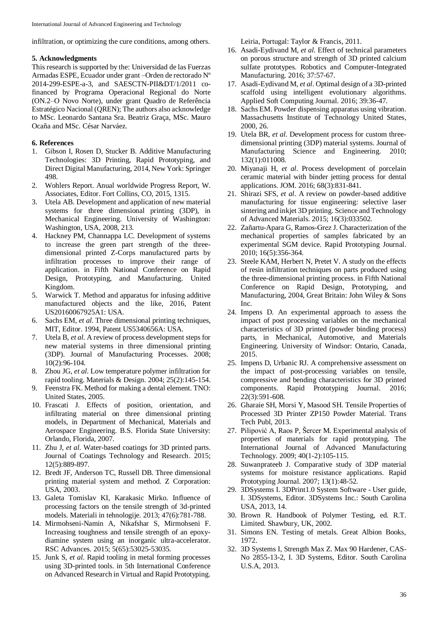infiltration, or optimizing the cure conditions, among others.

## **5. Acknowledgments**

This research is supported by the: Universidad de las Fuerzas Armadas ESPE, Ecuador under grant –Orden de rectorado Nº 2014-299-ESPE-a-3, and SAESCTN-PII&DT/1/2011 cofinanced by Programa Operacional Regional do Norte (ON.2–O Novo Norte), under grant Quadro de Referência Estratégico Nacional (QREN); The authors also acknowledge to MSc. Leonardo Santana Sra. Beatriz Graça, MSc. Mauro Ocaña and MSc. César Narváez.

# **6. References**

- 1. Gibson I, Rosen D, Stucker B. Additive Manufacturing Technologies: 3D Printing, Rapid Prototyping, and Direct Digital Manufacturing, 2014, New York: Springer 498.
- 2. Wohlers Report. Anual worldwide Progress Report, W. Associates, Editor. Fort Collins, CO, 2015, 1315.
- 3. Utela AB. Development and application of new material systems for three dimensional printing (3DP), in Mechanical Engineering. University of Washington: Washington, USA, 2008, 213.
- 4. Hackney PM, Channappa LC. Development of systems to increase the green part strength of the threedimensional printed Z-Corps manufactured parts by infiltration processes to improve their range of application. in Fifth National Conference on Rapid Design, Prototyping, and Manufacturing. United Kingdom.
- 5. Warwick T. Method and apparatus for infusing additive manufactured objects and the like, 2016, Patent US20160067925A1: USA.
- 6. Sachs EM, *et al*. Three dimensional printing techniques, MIT, Editor. 1994, Patent US5340656A: USA.
- 7. Utela B, *et al*. A review of process development steps for new material systems in three dimensional printing (3DP). Journal of Manufacturing Processes. 2008; 10(2):96-104.
- 8. Zhou JG, *et al*. Low temperature polymer infiltration for rapid tooling. Materials & Design. 2004; 25(2):145-154.
- 9. Feenstra FK. Method for making a dental element. TNO: United States, 2005.
- 10. Frascati J. Effects of position, orientation, and infiltrating material on three dimensional printing models, in Department of Mechanical, Materials and Aerospace Engineering. B.S. Florida State University: Orlando, Florida, 2007.
- 11. Zhu J, *et al*. Water-based coatings for 3D printed parts. Journal of Coatings Technology and Research. 2015; 12(5):889-897.
- 12. Bredt JF, Anderson TC, Russell DB. Three dimensional printing material system and method. Z Corporation: USA, 2003.
- 13. Galeta Tomislav KI, Karakasic Mirko. Influence of processing factors on the tensile strength of 3d-printed models. Materiali in tehnologije. 2013; 47(6):781-788.
- 14. Mirmohseni-Namin A, Nikafshar S, Mirmohseni F. Increasing toughness and tensile strength of an epoxydiamine system using an inorganic ultra-accelerator. RSC Advances. 2015; 5(65):53025-53035.
- 15. Junk S, *et al*. Rapid tooling in metal forming processes using 3D-printed tools. in 5th International Conference on Advanced Research in Virtual and Rapid Prototyping.

Leiria, Portugal: Taylor & Francis, 2011.

- 16. Asadi-Eydivand M, *et al*. Effect of technical parameters on porous structure and strength of 3D printed calcium sulfate prototypes. Robotics and Computer-Integrated Manufacturing. 2016; 37:57-67.
- 17. Asadi-Eydivand M, *et al*. Optimal design of a 3D-printed scaffold using intelligent evolutionary algorithms. Applied Soft Computing Journal. 2016; 39:36-47.
- 18. Sachs EM. Powder dispensing apparatus using vibration. Massachusetts Institute of Technology United States, 2000, 26.
- 19. Utela BR, *et al*. Development process for custom threedimensional printing (3DP) material systems. Journal of Manufacturing Science and Engineering. 2010; 132(1):011008.
- 20. Miyanaji H, *et al*. Process development of porcelain ceramic material with binder jetting process for dental applications. JOM. 2016; 68(3):831-841.
- 21. Shirazi SFS, *et al*. A review on powder-based additive manufacturing for tissue engineering: selective laser sintering and inkjet 3D printing. Science and Technology of Advanced Materials. 2015; 16(3):033502.
- 22. Zañartu-Apara G, Ramos‐Grez J. Characterization of the mechanical properties of samples fabricated by an experimental SGM device. Rapid Prototyping Journal. 2010; 16(5):356-364.
- 23. Steele KAM, Herbert N, Pretet V. A study on the effects of resin infiltration techniques on parts produced using the three-dimensional printing process. in Fifth National Conference on Rapid Design, Prototyping, and Manufacturing, 2004, Great Britain: John Wiley & Sons Inc.
- 24. Impens D. An experimental approach to assess the impact of post processing variables on the mechanical characteristics of 3D printed (powder binding process) parts, in Mechanical, Automotive, and Materials Engineering. University of Windsor: Ontario, Canada, 2015.
- 25. Impens D, Urbanic RJ. A comprehensive assessment on the impact of post-processing variables on tensile, compressive and bending characteristics for 3D printed components. Rapid Prototyping Journal. 2016; 22(3):591-608.
- 26. Gharaie SH, Morsi Y, Masood SH. Tensile Properties of Processed 3D Printer ZP150 Powder Material. Trans Tech Publ, 2013.
- 27. Pilipović A, Raos P, Šercer M. Experimental analysis of properties of materials for rapid prototyping. The International Journal of Advanced Manufacturing Technology. 2009; 40(1-2):105-115.
- 28. Suwanprateeb J. Comparative study of 3DP material systems for moisture resistance applications. Rapid Prototyping Journal. 2007; 13(1):48-52.
- 29. 3DSystems I. 3DPrint1.0 System Software User guide, I. 3DSystems, Editor. 3DSystems Inc.: South Carolina USA, 2013, 14.
- 30. Brown R. Handbook of Polymer Testing, ed. R.T. Limited. Shawbury, UK, 2002.
- 31. Simons EN. Testing of metals. Great Albion Books, 1972.
- 32. 3D Systems I, Strength Max Z. Max 90 Hardener, CAS-No 2855-13-2, I. 3D Systems, Editor. South Carolina U.S.A, 2013.